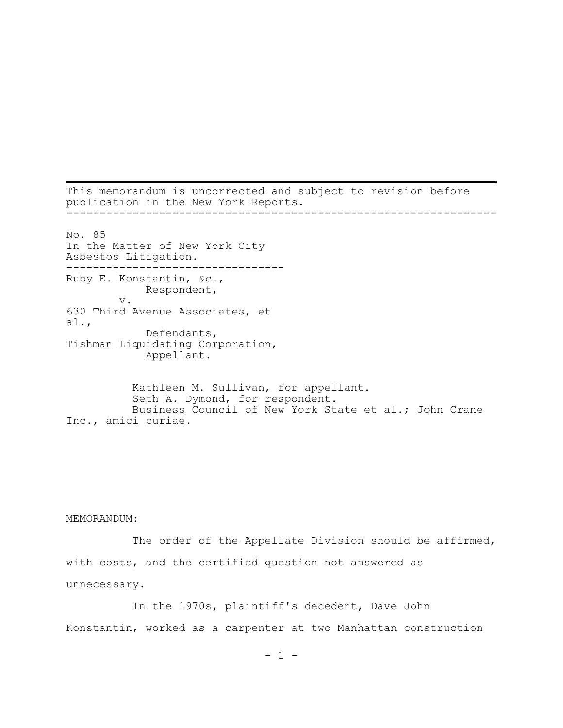This memorandum is uncorrected and subject to revision before publication in the New York Reports. ----------------------------------------------------------------- No. 85 In the Matter of New York City Asbestos Litigation. --------------------------------- Ruby E. Konstantin, &c., Respondent, v. 630 Third Avenue Associates, et al., Defendants, Tishman Liquidating Corporation, Appellant. Kathleen M. Sullivan, for appellant.

Seth A. Dymond, for respondent. Business Council of New York State et al.; John Crane Inc., amici curiae.

MEMORANDUM:

The order of the Appellate Division should be affirmed, with costs, and the certified question not answered as unnecessary.

In the 1970s, plaintiff's decedent, Dave John Konstantin, worked as a carpenter at two Manhattan construction

 $- 1 -$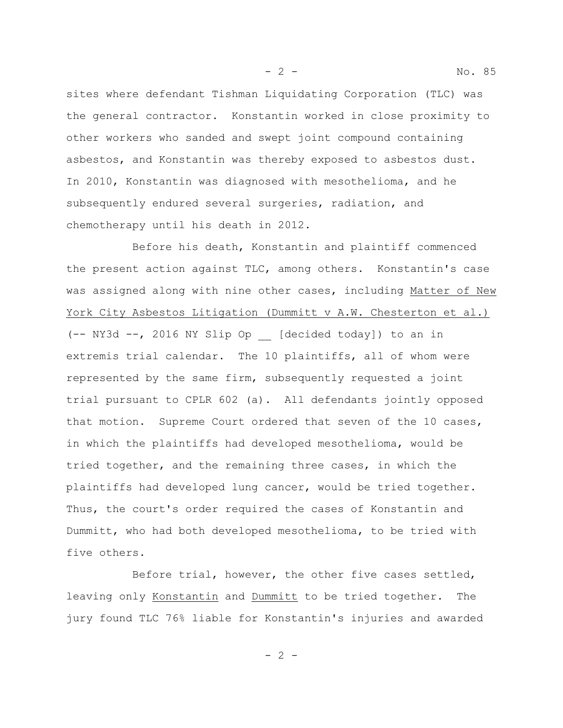sites where defendant Tishman Liquidating Corporation (TLC) was the general contractor. Konstantin worked in close proximity to other workers who sanded and swept joint compound containing asbestos, and Konstantin was thereby exposed to asbestos dust. In 2010, Konstantin was diagnosed with mesothelioma, and he subsequently endured several surgeries, radiation, and chemotherapy until his death in 2012.

Before his death, Konstantin and plaintiff commenced the present action against TLC, among others. Konstantin's case was assigned along with nine other cases, including Matter of New York City Asbestos Litigation (Dummitt v A.W. Chesterton et al.) (-- NY3d --, 2016 NY Slip Op \_\_ [decided today]) to an in extremis trial calendar. The 10 plaintiffs, all of whom were represented by the same firm, subsequently requested a joint trial pursuant to CPLR 602 (a). All defendants jointly opposed that motion. Supreme Court ordered that seven of the 10 cases, in which the plaintiffs had developed mesothelioma, would be tried together, and the remaining three cases, in which the plaintiffs had developed lung cancer, would be tried together. Thus, the court's order required the cases of Konstantin and Dummitt, who had both developed mesothelioma, to be tried with five others.

Before trial, however, the other five cases settled, leaving only Konstantin and Dummitt to be tried together. The jury found TLC 76% liable for Konstantin's injuries and awarded

 $- 2 -$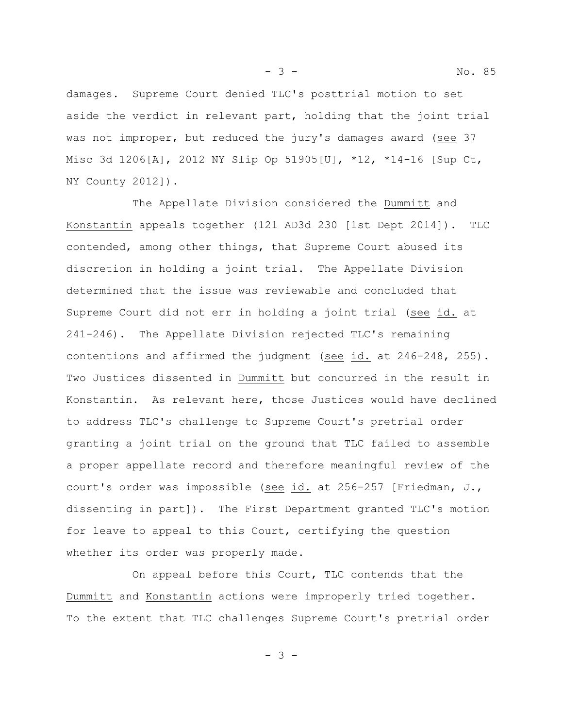- 3 - No. 85

damages. Supreme Court denied TLC's posttrial motion to set aside the verdict in relevant part, holding that the joint trial was not improper, but reduced the jury's damages award (see 37 Misc 3d 1206[A], 2012 NY Slip Op 51905[U], \*12, \*14-16 [Sup Ct, NY County 2012]).

The Appellate Division considered the Dummitt and Konstantin appeals together (121 AD3d 230 [1st Dept 2014]). TLC contended, among other things, that Supreme Court abused its discretion in holding a joint trial. The Appellate Division determined that the issue was reviewable and concluded that Supreme Court did not err in holding a joint trial (see id. at 241-246). The Appellate Division rejected TLC's remaining contentions and affirmed the judgment (see id. at 246-248, 255). Two Justices dissented in Dummitt but concurred in the result in Konstantin. As relevant here, those Justices would have declined to address TLC's challenge to Supreme Court's pretrial order granting a joint trial on the ground that TLC failed to assemble a proper appellate record and therefore meaningful review of the court's order was impossible (see id. at 256-257 [Friedman, J., dissenting in part]). The First Department granted TLC's motion for leave to appeal to this Court, certifying the question whether its order was properly made.

On appeal before this Court, TLC contends that the Dummitt and Konstantin actions were improperly tried together. To the extent that TLC challenges Supreme Court's pretrial order

- 3 -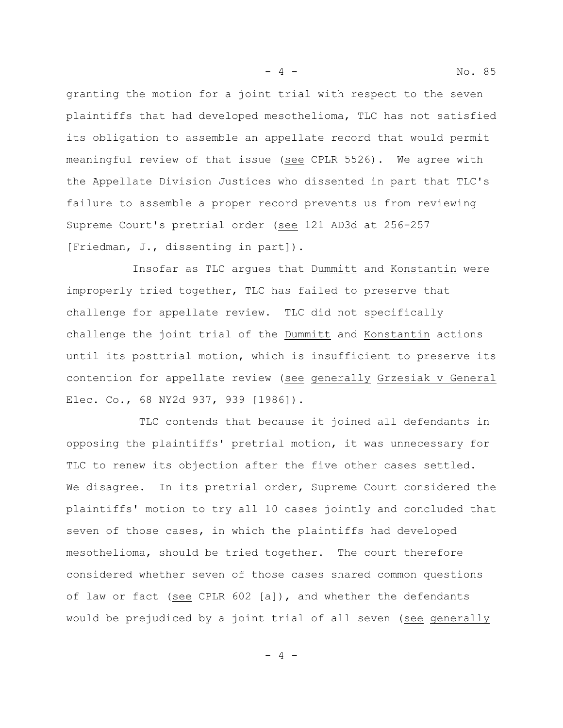granting the motion for a joint trial with respect to the seven plaintiffs that had developed mesothelioma, TLC has not satisfied its obligation to assemble an appellate record that would permit meaningful review of that issue (see CPLR 5526). We agree with the Appellate Division Justices who dissented in part that TLC's failure to assemble a proper record prevents us from reviewing Supreme Court's pretrial order (see 121 AD3d at 256-257 [Friedman, J., dissenting in part]).

Insofar as TLC argues that Dummitt and Konstantin were improperly tried together, TLC has failed to preserve that challenge for appellate review. TLC did not specifically challenge the joint trial of the Dummitt and Konstantin actions until its posttrial motion, which is insufficient to preserve its contention for appellate review (see generally Grzesiak v General Elec. Co., 68 NY2d 937, 939 [1986]).

 TLC contends that because it joined all defendants in opposing the plaintiffs' pretrial motion, it was unnecessary for TLC to renew its objection after the five other cases settled. We disagree. In its pretrial order, Supreme Court considered the plaintiffs' motion to try all 10 cases jointly and concluded that seven of those cases, in which the plaintiffs had developed mesothelioma, should be tried together. The court therefore considered whether seven of those cases shared common questions of law or fact (see CPLR 602 [a]), and whether the defendants would be prejudiced by a joint trial of all seven (see generally

 $-4 -$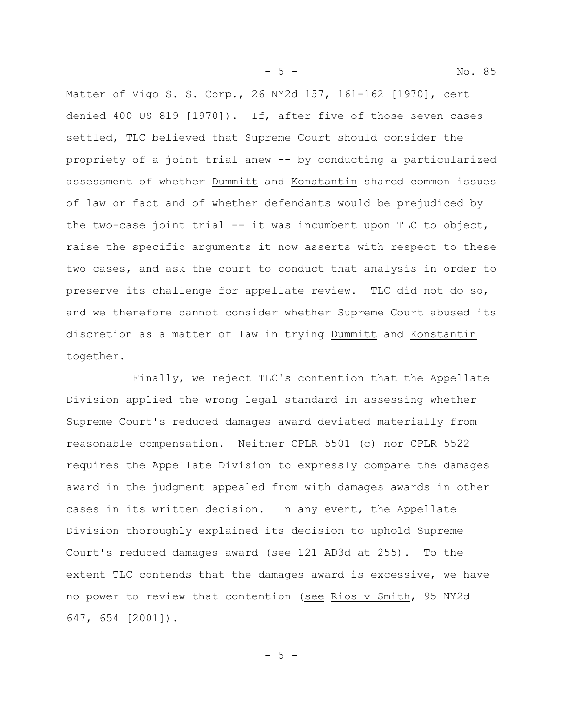Matter of Vigo S. S. Corp., 26 NY2d 157, 161-162 [1970], cert denied 400 US 819 [1970]). If, after five of those seven cases settled, TLC believed that Supreme Court should consider the propriety of a joint trial anew -- by conducting a particularized assessment of whether Dummitt and Konstantin shared common issues of law or fact and of whether defendants would be prejudiced by the two-case joint trial  $-$  it was incumbent upon TLC to object, raise the specific arguments it now asserts with respect to these two cases, and ask the court to conduct that analysis in order to preserve its challenge for appellate review. TLC did not do so, and we therefore cannot consider whether Supreme Court abused its discretion as a matter of law in trying Dummitt and Konstantin together.

Finally, we reject TLC's contention that the Appellate Division applied the wrong legal standard in assessing whether Supreme Court's reduced damages award deviated materially from reasonable compensation. Neither CPLR 5501 (c) nor CPLR 5522 requires the Appellate Division to expressly compare the damages award in the judgment appealed from with damages awards in other cases in its written decision. In any event, the Appellate Division thoroughly explained its decision to uphold Supreme Court's reduced damages award (see 121 AD3d at 255). To the extent TLC contends that the damages award is excessive, we have no power to review that contention (see Rios v Smith, 95 NY2d 647, 654 [2001]).

 $-5 -$